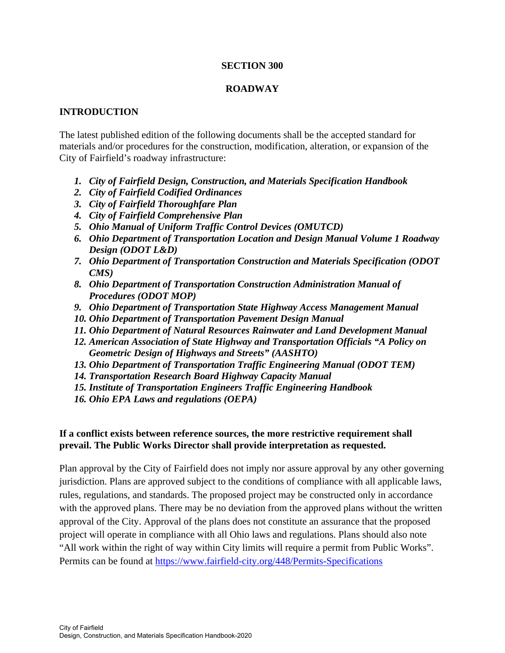#### **SECTION 300**

## **ROADWAY**

## **INTRODUCTION**

The latest published edition of the following documents shall be the accepted standard for materials and/or procedures for the construction, modification, alteration, or expansion of the City of Fairfield's roadway infrastructure:

- *1. City of Fairfield Design, Construction, and Materials Specification Handbook*
- *2. City of Fairfield Codified Ordinances*
- *3. City of Fairfield Thoroughfare Plan*
- *4. City of Fairfield Comprehensive Plan*
- *5. Ohio Manual of Uniform Traffic Control Devices (OMUTCD)*
- *6. Ohio Department of Transportation Location and Design Manual Volume 1 Roadway Design (ODOT L&D)*
- *7. Ohio Department of Transportation Construction and Materials Specification (ODOT CMS)*
- *8. Ohio Department of Transportation Construction Administration Manual of Procedures (ODOT MOP)*
- *9. Ohio Department of Transportation State Highway Access Management Manual*
- *10. Ohio Department of Transportation Pavement Design Manual*
- *11. Ohio Department of Natural Resources Rainwater and Land Development Manual*
- *12. American Association of State Highway and Transportation Officials "A Policy on Geometric Design of Highways and Streets" (AASHTO)*
- *13. Ohio Department of Transportation Traffic Engineering Manual (ODOT TEM)*
- *14. Transportation Research Board Highway Capacity Manual*
- *15. Institute of Transportation Engineers Traffic Engineering Handbook*
- *16. Ohio EPA Laws and regulations (OEPA)*

### **If a conflict exists between reference sources, the more restrictive requirement shall prevail. The Public Works Director shall provide interpretation as requested.**

Plan approval by the City of Fairfield does not imply nor assure approval by any other governing jurisdiction. Plans are approved subject to the conditions of compliance with all applicable laws, rules, regulations, and standards. The proposed project may be constructed only in accordance with the approved plans. There may be no deviation from the approved plans without the written approval of the City. Approval of the plans does not constitute an assurance that the proposed project will operate in compliance with all Ohio laws and regulations. Plans should also note "All work within the right of way within City limits will require a permit from Public Works". Permits can be found at https://www.fairfield-city.org/448/Permits-Specifications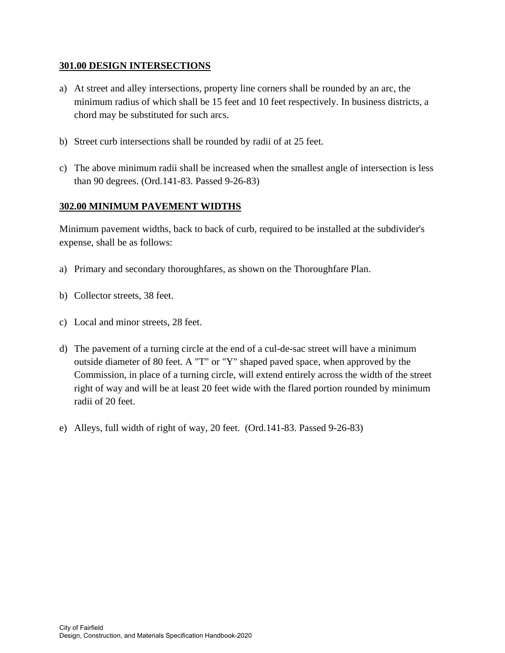### **301.00 DESIGN INTERSECTIONS**

- a) At street and alley intersections, property line corners shall be rounded by an arc, the minimum radius of which shall be 15 feet and 10 feet respectively. In business districts, a chord may be substituted for such arcs.
- b) Street curb intersections shall be rounded by radii of at 25 feet.
- c) The above minimum radii shall be increased when the smallest angle of intersection is less than 90 degrees. (Ord.141-83. Passed 9-26-83)

## **302.00 MINIMUM PAVEMENT WIDTHS**

Minimum pavement widths, back to back of curb, required to be installed at the subdivider's expense, shall be as follows:

- a) Primary and secondary thoroughfares, as shown on the Thoroughfare Plan.
- b) Collector streets, 38 feet.
- c) Local and minor streets, 28 feet.
- d) The pavement of a turning circle at the end of a cul-de-sac street will have a minimum outside diameter of 80 feet. A "T" or "Y" shaped paved space, when approved by the Commission, in place of a turning circle, will extend entirely across the width of the street right of way and will be at least 20 feet wide with the flared portion rounded by minimum radii of 20 feet.
- e) Alleys, full width of right of way, 20 feet. (Ord.141-83. Passed 9-26-83)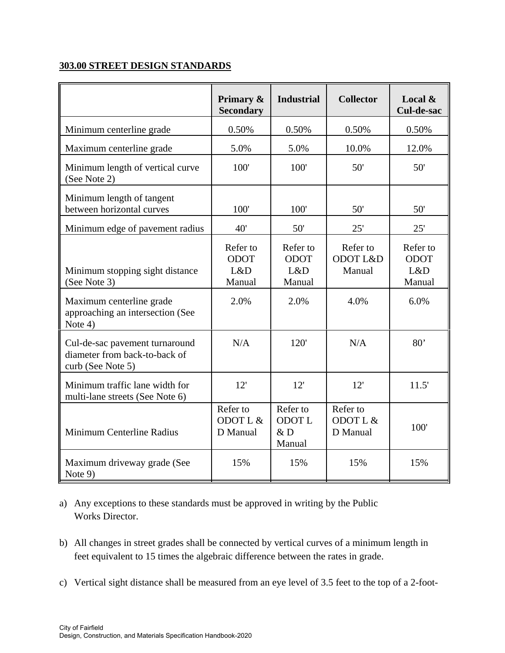## **303.00 STREET DESIGN STANDARDS**

|                                                                                      | Primary &<br><b>Secondary</b>            | <b>Industrial</b>                        | <b>Collector</b>                 | Local $\&$<br>Cul-de-sac                 |
|--------------------------------------------------------------------------------------|------------------------------------------|------------------------------------------|----------------------------------|------------------------------------------|
| Minimum centerline grade                                                             | 0.50%                                    | 0.50%                                    | 0.50%                            | 0.50%                                    |
| Maximum centerline grade                                                             | 5.0%                                     | 5.0%                                     | 10.0%                            | 12.0%                                    |
| Minimum length of vertical curve<br>(See Note 2)                                     | 100'                                     | 100'                                     | 50'                              | 50'                                      |
| Minimum length of tangent<br>between horizontal curves                               | 100'                                     | 100'                                     | 50'                              | 50'                                      |
| Minimum edge of pavement radius                                                      | 40'                                      | 50'                                      | 25'                              | 25'                                      |
| Minimum stopping sight distance<br>(See Note 3)                                      | Refer to<br><b>ODOT</b><br>L&D<br>Manual | Refer to<br><b>ODOT</b><br>L&D<br>Manual | Refer to<br>ODOT L&D<br>Manual   | Refer to<br><b>ODOT</b><br>L&D<br>Manual |
| Maximum centerline grade<br>approaching an intersection (See<br>Note 4)              | 2.0%                                     | 2.0%                                     | 4.0%                             | 6.0%                                     |
| Cul-de-sac pavement turnaround<br>diameter from back-to-back of<br>curb (See Note 5) | N/A                                      | 120'                                     | N/A                              | 80'                                      |
| Minimum traffic lane width for<br>multi-lane streets (See Note 6)                    | 12'                                      | 12'                                      | 12'                              | 11.5'                                    |
| Minimum Centerline Radius                                                            | Refer to<br>ODOT L &<br>D Manual         | Refer to<br><b>ODOTL</b><br>&D<br>Manual | Refer to<br>ODOT L &<br>D Manual | 100'                                     |
| Maximum driveway grade (See<br>Note 9)                                               | 15%                                      | 15%                                      | 15%                              | 15%                                      |

a) Any exceptions to these standards must be approved in writing by the Public Works Director.

- b) All changes in street grades shall be connected by vertical curves of a minimum length in feet equivalent to 15 times the algebraic difference between the rates in grade.
- c) Vertical sight distance shall be measured from an eye level of 3.5 feet to the top of a 2-foot-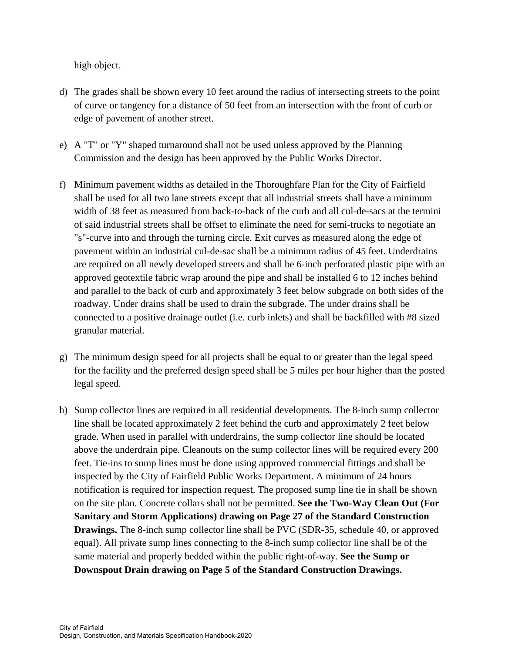high object.

- d) The grades shall be shown every 10 feet around the radius of intersecting streets to the point of curve or tangency for a distance of 50 feet from an intersection with the front of curb or edge of pavement of another street.
- e) A "T" or "Y" shaped turnaround shall not be used unless approved by the Planning Commission and the design has been approved by the Public Works Director.
- f) Minimum pavement widths as detailed in the Thoroughfare Plan for the City of Fairfield shall be used for all two lane streets except that all industrial streets shall have a minimum width of 38 feet as measured from back-to-back of the curb and all cul-de-sacs at the termini of said industrial streets shall be offset to eliminate the need for semi-trucks to negotiate an "s"-curve into and through the turning circle. Exit curves as measured along the edge of pavement within an industrial cul-de-sac shall be a minimum radius of 45 feet. Underdrains are required on all newly developed streets and shall be 6-inch perforated plastic pipe with an approved geotextile fabric wrap around the pipe and shall be installed 6 to 12 inches behind and parallel to the back of curb and approximately 3 feet below subgrade on both sides of the roadway. Under drains shall be used to drain the subgrade. The under drains shall be connected to a positive drainage outlet (i.e. curb inlets) and shall be backfilled with #8 sized granular material.
- g) The minimum design speed for all projects shall be equal to or greater than the legal speed for the facility and the preferred design speed shall be 5 miles per hour higher than the posted legal speed.
- h) Sump collector lines are required in all residential developments. The 8-inch sump collector line shall be located approximately 2 feet behind the curb and approximately 2 feet below grade. When used in parallel with underdrains, the sump collector line should be located above the underdrain pipe. Cleanouts on the sump collector lines will be required every 200 feet. Tie-ins to sump lines must be done using approved commercial fittings and shall be inspected by the City of Fairfield Public Works Department. A minimum of 24 hours notification is required for inspection request. The proposed sump line tie in shall be shown on the site plan. Concrete collars shall not be permitted. **See the Two-Way Clean Out (For Sanitary and Storm Applications) drawing on Page 27 of the Standard Construction Drawings.** The 8-inch sump collector line shall be PVC (SDR-35, schedule 40, or approved equal). All private sump lines connecting to the 8-inch sump collector line shall be of the same material and properly bedded within the public right-of-way. **See the Sump or Downspout Drain drawing on Page 5 of the Standard Construction Drawings.**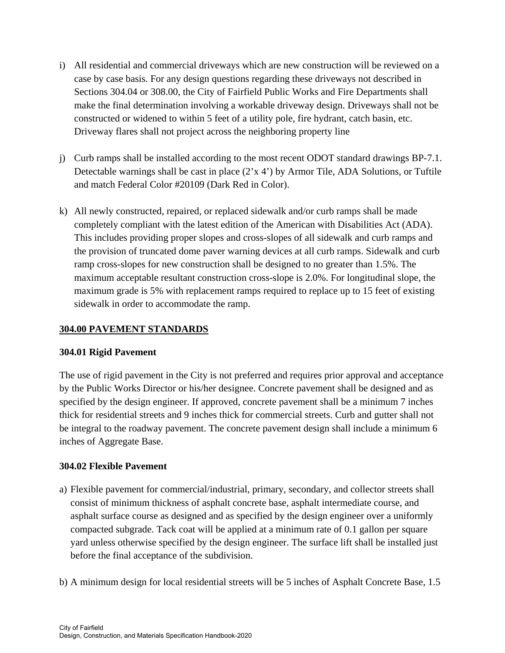- i) All residential and commercial driveways which are new construction will be reviewed on a case by case basis. For any design questions regarding these driveways not described in Sections 304.04 or 308.00, the City of Fairfield Public Works and Fire Departments shall make the final determination involving a workable driveway design. Driveways shall not be constructed or widened to within 5 feet of a utility pole, fire hydrant, catch basin, etc. Driveway flares shall not project across the neighboring property line
- j) Curb ramps shall be installed according to the most recent ODOT standard drawings BP-7.1. Detectable warnings shall be cast in place (2'x 4') by Armor Tile, ADA Solutions, or Tuftile and match Federal Color #20109 (Dark Red in Color).
- k) All newly constructed, repaired, or replaced sidewalk and/or curb ramps shall be made completely compliant with the latest edition of the American with Disabilities Act (ADA). This includes providing proper slopes and cross-slopes of all sidewalk and curb ramps and the provision of truncated dome paver warning devices at all curb ramps. Sidewalk and curb ramp cross-slopes for new construction shall be designed to no greater than 1.5%. The maximum acceptable resultant construction cross-slope is 2.0%. For longitudinal slope, the maximum grade is 5% with replacement ramps required to replace up to 15 feet of existing sidewalk in order to accommodate the ramp.

## **304.00 PAVEMENT STANDARDS**

#### **304.01 Rigid Pavement**

The use of rigid pavement in the City is not preferred and requires prior approval and acceptance by the Public Works Director or his/her designee. Concrete pavement shall be designed and as specified by the design engineer. If approved, concrete pavement shall be a minimum 7 inches thick for residential streets and 9 inches thick for commercial streets. Curb and gutter shall not be integral to the roadway pavement. The concrete pavement design shall include a minimum 6 inches of Aggregate Base.

## **304.02 Flexible Pavement**

- a) Flexible pavement for commercial/industrial, primary, secondary, and collector streets shall consist of minimum thickness of asphalt concrete base, asphalt intermediate course, and asphalt surface course as designed and as specified by the design engineer over a uniformly compacted subgrade. Tack coat will be applied at a minimum rate of 0.1 gallon per square yard unless otherwise specified by the design engineer. The surface lift shall be installed just before the final acceptance of the subdivision.
- b) A minimum design for local residential streets will be 5 inches of Asphalt Concrete Base, 1.5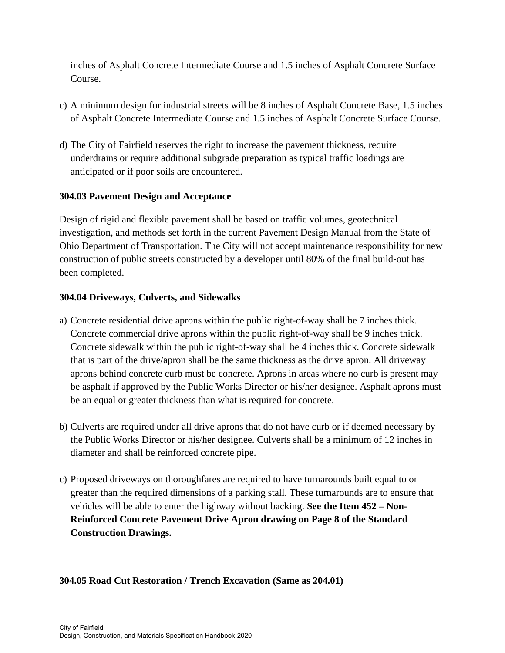inches of Asphalt Concrete Intermediate Course and 1.5 inches of Asphalt Concrete Surface Course.

- c) A minimum design for industrial streets will be 8 inches of Asphalt Concrete Base, 1.5 inches of Asphalt Concrete Intermediate Course and 1.5 inches of Asphalt Concrete Surface Course.
- d) The City of Fairfield reserves the right to increase the pavement thickness, require underdrains or require additional subgrade preparation as typical traffic loadings are anticipated or if poor soils are encountered.

## **304.03 Pavement Design and Acceptance**

Design of rigid and flexible pavement shall be based on traffic volumes, geotechnical investigation, and methods set forth in the current Pavement Design Manual from the State of Ohio Department of Transportation. The City will not accept maintenance responsibility for new construction of public streets constructed by a developer until 80% of the final build-out has been completed.

## **304.04 Driveways, Culverts, and Sidewalks**

- a) Concrete residential drive aprons within the public right-of-way shall be 7 inches thick. Concrete commercial drive aprons within the public right-of-way shall be 9 inches thick. Concrete sidewalk within the public right-of-way shall be 4 inches thick. Concrete sidewalk that is part of the drive/apron shall be the same thickness as the drive apron. All driveway aprons behind concrete curb must be concrete. Aprons in areas where no curb is present may be asphalt if approved by the Public Works Director or his/her designee. Asphalt aprons must be an equal or greater thickness than what is required for concrete.
- b) Culverts are required under all drive aprons that do not have curb or if deemed necessary by the Public Works Director or his/her designee. Culverts shall be a minimum of 12 inches in diameter and shall be reinforced concrete pipe.
- c) Proposed driveways on thoroughfares are required to have turnarounds built equal to or greater than the required dimensions of a parking stall. These turnarounds are to ensure that vehicles will be able to enter the highway without backing. **See the Item 452 – Non-Reinforced Concrete Pavement Drive Apron drawing on Page 8 of the Standard Construction Drawings.**

# **304.05 Road Cut Restoration / Trench Excavation (Same as 204.01)**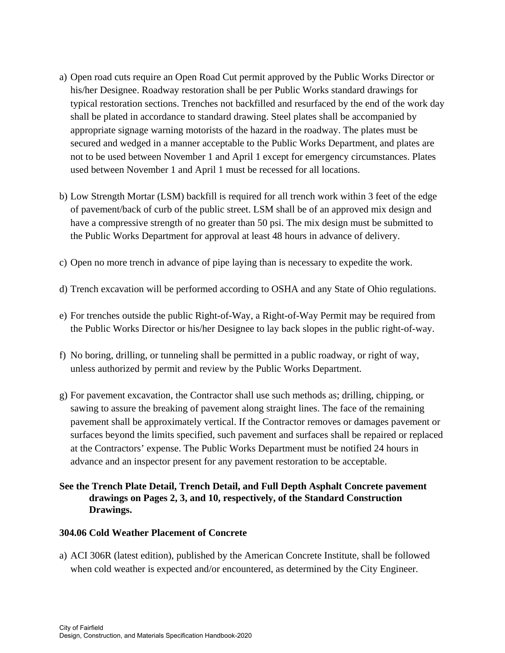- a) Open road cuts require an Open Road Cut permit approved by the Public Works Director or his/her Designee. Roadway restoration shall be per Public Works standard drawings for typical restoration sections. Trenches not backfilled and resurfaced by the end of the work day shall be plated in accordance to standard drawing. Steel plates shall be accompanied by appropriate signage warning motorists of the hazard in the roadway. The plates must be secured and wedged in a manner acceptable to the Public Works Department, and plates are not to be used between November 1 and April 1 except for emergency circumstances. Plates used between November 1 and April 1 must be recessed for all locations.
- b) Low Strength Mortar (LSM) backfill is required for all trench work within 3 feet of the edge of pavement/back of curb of the public street. LSM shall be of an approved mix design and have a compressive strength of no greater than 50 psi. The mix design must be submitted to the Public Works Department for approval at least 48 hours in advance of delivery.
- c) Open no more trench in advance of pipe laying than is necessary to expedite the work.
- d) Trench excavation will be performed according to OSHA and any State of Ohio regulations.
- e) For trenches outside the public Right-of-Way, a Right-of-Way Permit may be required from the Public Works Director or his/her Designee to lay back slopes in the public right-of-way.
- f) No boring, drilling, or tunneling shall be permitted in a public roadway, or right of way, unless authorized by permit and review by the Public Works Department.
- g) For pavement excavation, the Contractor shall use such methods as; drilling, chipping, or sawing to assure the breaking of pavement along straight lines. The face of the remaining pavement shall be approximately vertical. If the Contractor removes or damages pavement or surfaces beyond the limits specified, such pavement and surfaces shall be repaired or replaced at the Contractors' expense. The Public Works Department must be notified 24 hours in advance and an inspector present for any pavement restoration to be acceptable.
- **See the Trench Plate Detail, Trench Detail, and Full Depth Asphalt Concrete pavement drawings on Pages 2, 3, and 10, respectively, of the Standard Construction Drawings.**

#### **304.06 Cold Weather Placement of Concrete**

a) ACI 306R (latest edition), published by the American Concrete Institute, shall be followed when cold weather is expected and/or encountered, as determined by the City Engineer.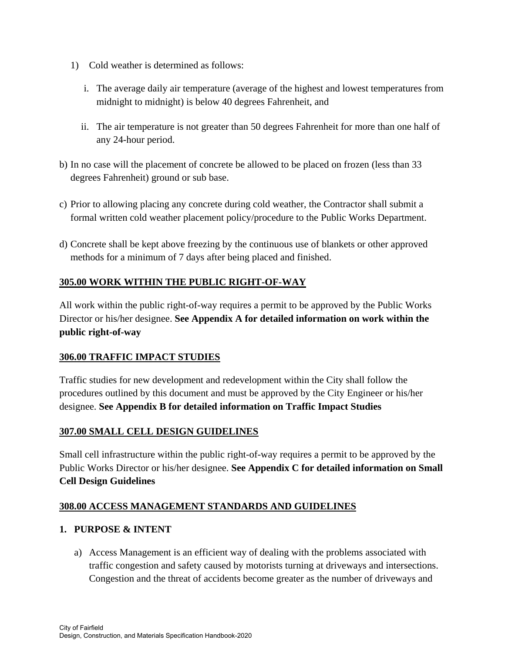- 1) Cold weather is determined as follows:
	- i. The average daily air temperature (average of the highest and lowest temperatures from midnight to midnight) is below 40 degrees Fahrenheit, and
	- ii. The air temperature is not greater than 50 degrees Fahrenheit for more than one half of any 24-hour period.
- b) In no case will the placement of concrete be allowed to be placed on frozen (less than 33 degrees Fahrenheit) ground or sub base.
- c) Prior to allowing placing any concrete during cold weather, the Contractor shall submit a formal written cold weather placement policy/procedure to the Public Works Department.
- d) Concrete shall be kept above freezing by the continuous use of blankets or other approved methods for a minimum of 7 days after being placed and finished.

# **305.00 WORK WITHIN THE PUBLIC RIGHT-OF-WAY**

All work within the public right-of-way requires a permit to be approved by the Public Works Director or his/her designee. **See Appendix A for detailed information on work within the public right-of-way** 

# **306.00 TRAFFIC IMPACT STUDIES**

Traffic studies for new development and redevelopment within the City shall follow the procedures outlined by this document and must be approved by the City Engineer or his/her designee. **See Appendix B for detailed information on Traffic Impact Studies** 

# **307.00 SMALL CELL DESIGN GUIDELINES**

Small cell infrastructure within the public right-of-way requires a permit to be approved by the Public Works Director or his/her designee. **See Appendix C for detailed information on Small Cell Design Guidelines** 

## **308.00 ACCESS MANAGEMENT STANDARDS AND GUIDELINES**

## **1. PURPOSE & INTENT**

a) Access Management is an efficient way of dealing with the problems associated with traffic congestion and safety caused by motorists turning at driveways and intersections. Congestion and the threat of accidents become greater as the number of driveways and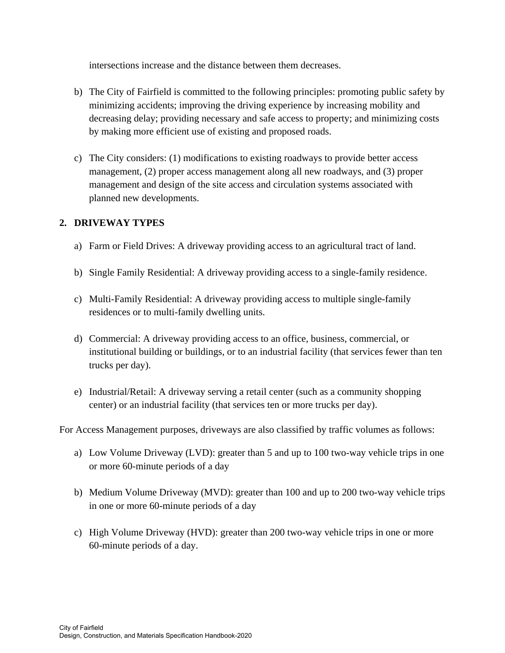intersections increase and the distance between them decreases.

- b) The City of Fairfield is committed to the following principles: promoting public safety by minimizing accidents; improving the driving experience by increasing mobility and decreasing delay; providing necessary and safe access to property; and minimizing costs by making more efficient use of existing and proposed roads.
- c) The City considers: (1) modifications to existing roadways to provide better access management, (2) proper access management along all new roadways, and (3) proper management and design of the site access and circulation systems associated with planned new developments.

# **2. DRIVEWAY TYPES**

- a) Farm or Field Drives: A driveway providing access to an agricultural tract of land.
- b) Single Family Residential: A driveway providing access to a single-family residence.
- c) Multi-Family Residential: A driveway providing access to multiple single-family residences or to multi-family dwelling units.
- d) Commercial: A driveway providing access to an office, business, commercial, or institutional building or buildings, or to an industrial facility (that services fewer than ten trucks per day).
- e) Industrial/Retail: A driveway serving a retail center (such as a community shopping center) or an industrial facility (that services ten or more trucks per day).

For Access Management purposes, driveways are also classified by traffic volumes as follows:

- a) Low Volume Driveway (LVD): greater than 5 and up to 100 two-way vehicle trips in one or more 60-minute periods of a day
- b) Medium Volume Driveway (MVD): greater than 100 and up to 200 two-way vehicle trips in one or more 60-minute periods of a day
- c) High Volume Driveway (HVD): greater than 200 two-way vehicle trips in one or more 60-minute periods of a day.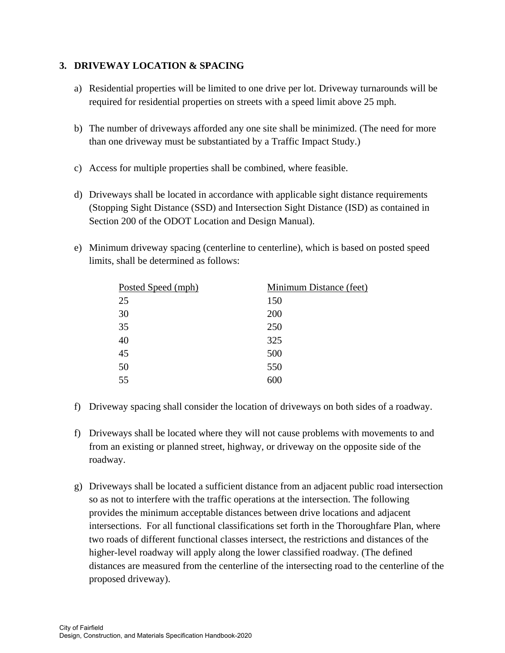## **3. DRIVEWAY LOCATION & SPACING**

- a) Residential properties will be limited to one drive per lot. Driveway turnarounds will be required for residential properties on streets with a speed limit above 25 mph.
- b) The number of driveways afforded any one site shall be minimized. (The need for more than one driveway must be substantiated by a Traffic Impact Study.)
- c) Access for multiple properties shall be combined, where feasible.
- d) Driveways shall be located in accordance with applicable sight distance requirements (Stopping Sight Distance (SSD) and Intersection Sight Distance (ISD) as contained in Section 200 of the ODOT Location and Design Manual).
- e) Minimum driveway spacing (centerline to centerline), which is based on posted speed limits, shall be determined as follows:

| Posted Speed (mph) | <b>Minimum Distance (feet)</b> |  |  |
|--------------------|--------------------------------|--|--|
| 25                 | 150                            |  |  |
| 30                 | 200                            |  |  |
| 35                 | 250                            |  |  |
| 40                 | 325                            |  |  |
| 45                 | 500                            |  |  |
| 50                 | 550                            |  |  |
| 55                 | 600                            |  |  |

- f) Driveway spacing shall consider the location of driveways on both sides of a roadway.
- f) Driveways shall be located where they will not cause problems with movements to and from an existing or planned street, highway, or driveway on the opposite side of the roadway.
- g) Driveways shall be located a sufficient distance from an adjacent public road intersection so as not to interfere with the traffic operations at the intersection. The following provides the minimum acceptable distances between drive locations and adjacent intersections. For all functional classifications set forth in the Thoroughfare Plan, where two roads of different functional classes intersect, the restrictions and distances of the higher-level roadway will apply along the lower classified roadway. (The defined distances are measured from the centerline of the intersecting road to the centerline of the proposed driveway).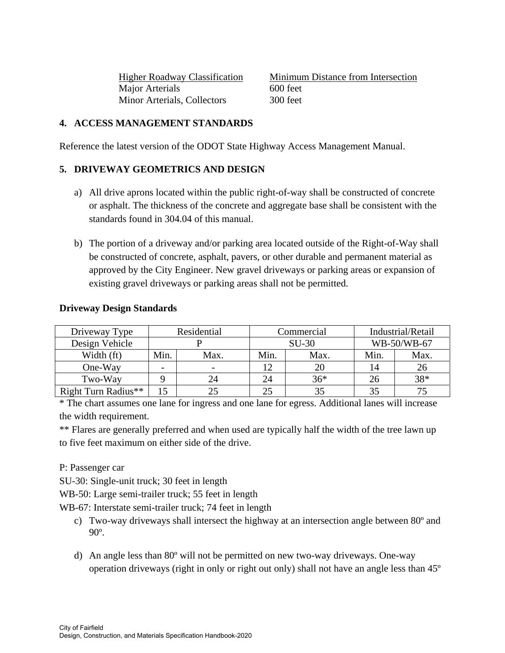Major Arterials 600 feet Minor Arterials, Collectors 300 feet

Higher Roadway Classification Minimum Distance from Intersection

## **4. ACCESS MANAGEMENT STANDARDS**

Reference the latest version of the ODOT State Highway Access Management Manual.

## **5. DRIVEWAY GEOMETRICS AND DESIGN**

- a) All drive aprons located within the public right-of-way shall be constructed of concrete or asphalt. The thickness of the concrete and aggregate base shall be consistent with the standards found in 304.04 of this manual.
- b) The portion of a driveway and/or parking area located outside of the Right-of-Way shall be constructed of concrete, asphalt, pavers, or other durable and permanent material as approved by the City Engineer. New gravel driveways or parking areas or expansion of existing gravel driveways or parking areas shall not be permitted.

| <b>Driveway Design Standards</b> |  |
|----------------------------------|--|
|----------------------------------|--|

| Driveway Type       | Residential              |      | Commercial |       | Industrial/Retail |      |
|---------------------|--------------------------|------|------------|-------|-------------------|------|
| Design Vehicle      |                          |      | $SU-30$    |       | WB-50/WB-67       |      |
| Width (ft)          | Min.                     | Max. | Min.       | Max.  | Min.              | Max. |
| One-Way             | $\overline{\phantom{0}}$ |      | 12         | 20    | 14                | 26   |
| Two-Way             |                          | 24   | 24         | $36*$ | 26                | 38*  |
| Right Turn Radius** | 15                       |      | 25         |       |                   |      |

\* The chart assumes one lane for ingress and one lane for egress. Additional lanes will increase the width requirement.

\*\* Flares are generally preferred and when used are typically half the width of the tree lawn up to five feet maximum on either side of the drive.

P: Passenger car

SU-30: Single-unit truck; 30 feet in length

WB-50: Large semi-trailer truck; 55 feet in length

WB-67: Interstate semi-trailer truck; 74 feet in length

- c) Two-way driveways shall intersect the highway at an intersection angle between 80º and 90º.
- d) An angle less than 80º will not be permitted on new two-way driveways. One-way operation driveways (right in only or right out only) shall not have an angle less than 45º